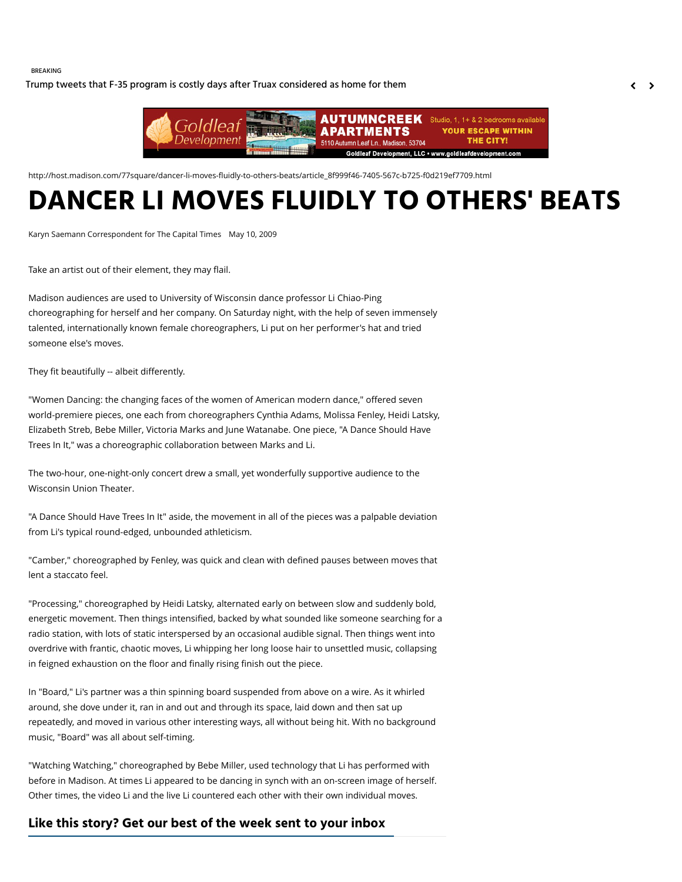#### BREAKING

[Trump tweets that F-35 program is costly days after Truax considered as home for them](http://host.madison.com/wsj/news/local/trump-tweets-that-f--program-is-costly-days-after/article_39a784b0-0e56-50d1-986d-c4819bfe2f41.html)  $\left\langle \right\rangle$ 



http://host.madison.com/77square/dancer-li-moves-fluidly-to-others-beats/article\_8f999f46-7405-567c-b725-f0d219ef7709.html

# **DANCER LI MOVES FLUIDLY TO OTHERS' BEATS**

Karyn Saemann Correspondent for The Capital Times May 10, 2009

Take an artist out of their element, they may flail.

Madison audiences are used to University of Wisconsin dance professor Li Chiao-Ping choreographing for herself and her company. On Saturday night, with the help of seven immensely talented, internationally known female choreographers, Li put on her performer's hat and tried someone else's moves.

They fit beautifully -- albeit differently.

"Women Dancing: the changing faces of the women of American modern dance," offered seven world-premiere pieces, one each from choreographers Cynthia Adams, Molissa Fenley, Heidi Latsky, Elizabeth Streb, Bebe Miller, Victoria Marks and June Watanabe. One piece, "A Dance Should Have Trees In It," was a choreographic collaboration between Marks and Li.

The two-hour, one-night-only concert drew a small, yet wonderfully supportive audience to the Wisconsin Union Theater.

"A Dance Should Have Trees In It" aside, the movement in all of the pieces was a palpable deviation from Li's typical round-edged, unbounded athleticism.

"Camber," choreographed by Fenley, was quick and clean with defined pauses between moves that lent a staccato feel.

"Processing," choreographed by Heidi Latsky, alternated early on between slow and suddenly bold, energetic movement. Then things intensified, backed by what sounded like someone searching for a radio station, with lots of static interspersed by an occasional audible signal. Then things went into overdrive with frantic, chaotic moves, Li whipping her long loose hair to unsettled music, collapsing in feigned exhaustion on the floor and finally rising finish out the piece.

In "Board," Li's partner was a thin spinning board suspended from above on a wire. As it whirled around, she dove under it, ran in and out and through its space, laid down and then sat up repeatedly, and moved in various other interesting ways, all without being hit. With no background music, "Board" was all about self-timing.

"Watching Watching," choreographed by Bebe Miller, used technology that Li has performed with before in Madison. At times Li appeared to be dancing in synch with an on-screen image of herself. Other times, the video Li and the live Li countered each other with their own individual moves.

### **Like this story? Get our best of the week sent to your inbox**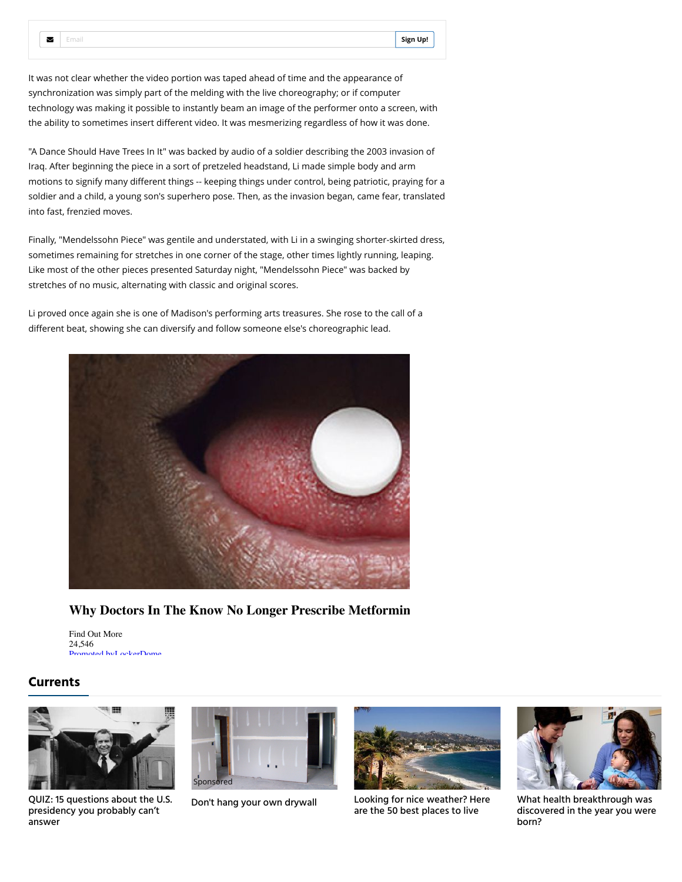It was not clear whether the video portion was taped ahead of time and the appearance of synchronization was simply part of the melding with the live choreography; or if computer technology was making it possible to instantly beam an image of the performer onto a screen, with the ability to sometimes insert different video. It was mesmerizing regardless of how it was done.

"A Dance Should Have Trees In It" was backed by audio of a soldier describing the 2003 invasion of Iraq. After beginning the piece in a sort of pretzeled headstand, Li made simple body and arm motions to signify many different things -- keeping things under control, being patriotic, praying for a soldier and a child, a young son's superhero pose. Then, as the invasion began, came fear, translated into fast, frenzied moves.

Finally, "Mendelssohn Piece" was gentile and understated, with Li in a swinging shorter-skirted dress, sometimes remaining for stretches in one corner of the stage, other times lightly running, leaping. Like most of the other pieces presented Saturday night, "Mendelssohn Piece" was backed by stretches of no music, alternating with classic and original scores.

Li proved once again she is one of Madison's performing arts treasures. She rose to the call of a different beat, showing she can diversify and follow someone else's choreographic lead.



# **Why Doctors In The Know No Longer Prescribe Metformin**

Find Out More 24,546 noted by[LockerDome](http://lockerdome.com/)

# **Currents**

 $\sim$ 



[QUIZ: 15 questions about the U.S.](http://host.madison.com/quiz/quiz-questions-about-the-u-s-presidency-you-probably-can/html_eca24586-5288-11e6-9b1c-2f5834772893.html) presidency you probably can't answer





[Don't hang your own drywall](https://adclick.g.doubleclick.net/pcs/click%253Fxai%253DAKAOjsu6wqDZQOs3LcUTU_2Bm32qEWH1ypcZSynWV2RZL78k1Q8texaswBoJ0MZeO2XaIvpQDTo-A93ND7uUJ34HV0ofMxvYt9jPXMmOY1WH2GHAfIGxlehY8nQgSB-iVrOKJvxIymoFL0g3N9zVa4f1K9zIoRjFjpJNE5F0_XayvPaGscYdfpxbQgEnoJV-u4qZuVH0q6382WteiWEHur-OOVbo3izZacEMuptMJT-Kc39WfAn8-nNXQ6FA49Zx12Ig%2526sig%253DCg0ArKJSzOwW4qxo1_xNEAE%2526urlfix%253D1%2526adurl%253Dhttps://leeaws.com/featured_pros/?id=daily-headlines-remodeling-contractors&project_id=73&project=remodeling-contractors&task=52&context=asset) [Looking for nice weather? Here](http://host.madison.com/homes/looking-for-nice-weather-here-are-the-best-places-to/collection_7a1088f2-8820-5463-988e-0891797dd40d.html) are the 50 best places to live



What health breakthrough was [discovered in the year you were](http://host.madison.com/lifestyles/health-med-fit/what-health-breakthrough-was-discovered-in-the-year-you-were/collection_b87bfd67-d492-566b-9399-208a28569db8.html) born?